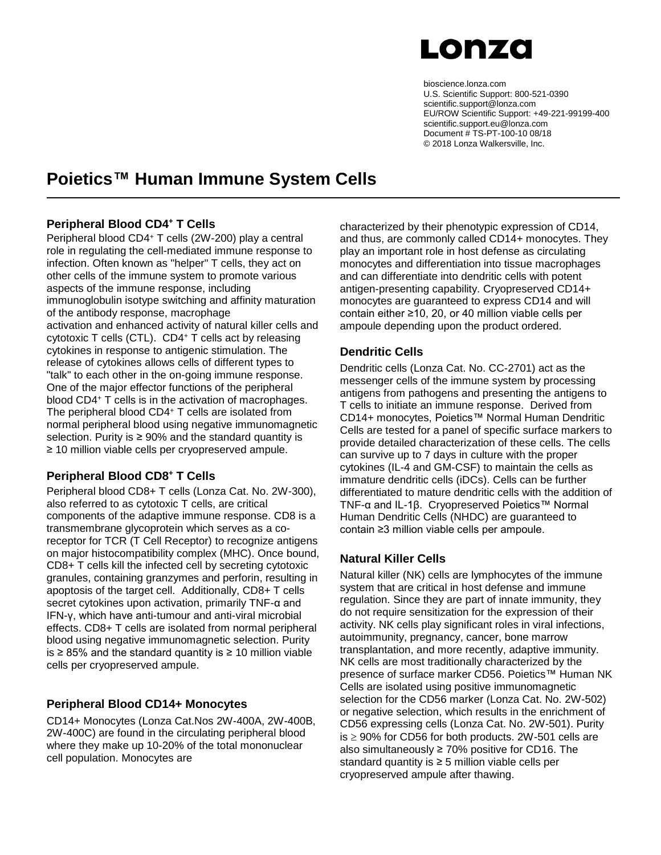

bioscience.lonza.com U.S. Scientific Support: 800-521-0390 scientific.support@lonza.com EU/ROW Scientific Support: +49-221-99199-400 scientific.support.eu@lonza.com Document # TS-PT-100-10 08/18 © 2018 Lonza Walkersville, Inc.

## **Poietics™ Human Immune System Cells**

#### **Peripheral Blood CD4 <sup>+</sup> T Cells**

Peripheral blood CD4<sup>+</sup> T cells (2W-200) play a central role in regulating the cell-mediated immune response to infection. Often known as "helper" T cells, they act on other cells of the immune system to promote various aspects of the immune response, including immunoglobulin isotype switching and affinity maturation of the antibody response, macrophage activation and enhanced activity of natural killer cells and cytotoxic T cells (CTL). CD4<sup>+</sup> T cells act by releasing cytokines in response to antigenic stimulation. The release of cytokines allows cells of different types to "talk" to each other in the on-going immune response. One of the major effector functions of the peripheral blood CD4<sup>+</sup> T cells is in the activation of macrophages. The peripheral blood CD4<sup>+</sup> T cells are isolated from normal peripheral blood using negative immunomagnetic selection. Purity is  $\geq 90\%$  and the standard quantity is ≥ 10 million viable cells per cryopreserved ampule.

### **Peripheral Blood CD8<sup>+</sup> T Cells**

Peripheral blood CD8+ T cells (Lonza Cat. No. 2W-300), also referred to as cytotoxic T cells, are critical components of the adaptive immune response. CD8 is a transmembrane glycoprotein which serves as a coreceptor for TCR (T Cell Receptor) to recognize antigens on major histocompatibility complex (MHC). Once bound, CD8+ T cells kill the infected cell by secreting cytotoxic granules, containing granzymes and perforin, resulting in apoptosis of the target cell. Additionally, CD8+ T cells secret cytokines upon activation, primarily TNF-α and IFN-γ, which have anti-tumour and anti-viral microbial effects. CD8+ T cells are isolated from normal peripheral blood using negative immunomagnetic selection. Purity is ≥ 85% and the standard quantity is ≥ 10 million viable cells per cryopreserved ampule.

### **Peripheral Blood CD14+ Monocytes**

CD14+ Monocytes (Lonza Cat.Nos 2W-400A, 2W-400B, 2W-400C) are found in the circulating peripheral blood where they make up 10-20% of the total mononuclear cell population. Monocytes are

characterized by their phenotypic expression of CD14, and thus, are commonly called CD14+ monocytes. They play an important role in host defense as circulating monocytes and differentiation into tissue macrophages and can differentiate into dendritic cells with potent antigen-presenting capability. Cryopreserved CD14+ monocytes are guaranteed to express CD14 and will contain either ≥10, 20, or 40 million viable cells per ampoule depending upon the product ordered.

### **Dendritic Cells**

Dendritic cells (Lonza Cat. No. CC-2701) act as the messenger cells of the immune system by processing antigens from pathogens and presenting the antigens to T cells to initiate an immune response. Derived from CD14+ monocytes, Poietics™ Normal Human Dendritic Cells are tested for a panel of specific surface markers to provide detailed characterization of these cells. The cells can survive up to 7 days in culture with the proper cytokines (IL-4 and GM-CSF) to maintain the cells as immature dendritic cells (iDCs). Cells can be further differentiated to mature dendritic cells with the addition of TNF-α and IL-1β. Cryopreserved Poietics™ Normal Human Dendritic Cells (NHDC) are guaranteed to contain ≥3 million viable cells per ampoule.

### **Natural Killer Cells**

Natural killer (NK) cells are lymphocytes of the immune system that are critical in host defense and immune regulation. Since they are part of innate immunity, they do not require sensitization for the expression of their activity. NK cells play significant roles in viral infections, autoimmunity, pregnancy, cancer, bone marrow transplantation, and more recently, adaptive immunity. NK cells are most traditionally characterized by the presence of surface marker CD56. Poietics™ Human NK Cells are isolated using positive immunomagnetic selection for the CD56 marker (Lonza Cat. No. 2W-502) or negative selection, which results in the enrichment of CD56 expressing cells (Lonza Cat. No. 2W-501). Purity  $is \geq 90\%$  for CD56 for both products. 2W-501 cells are also simultaneously ≥ 70% positive for CD16. The standard quantity is ≥ 5 million viable cells per cryopreserved ampule after thawing.